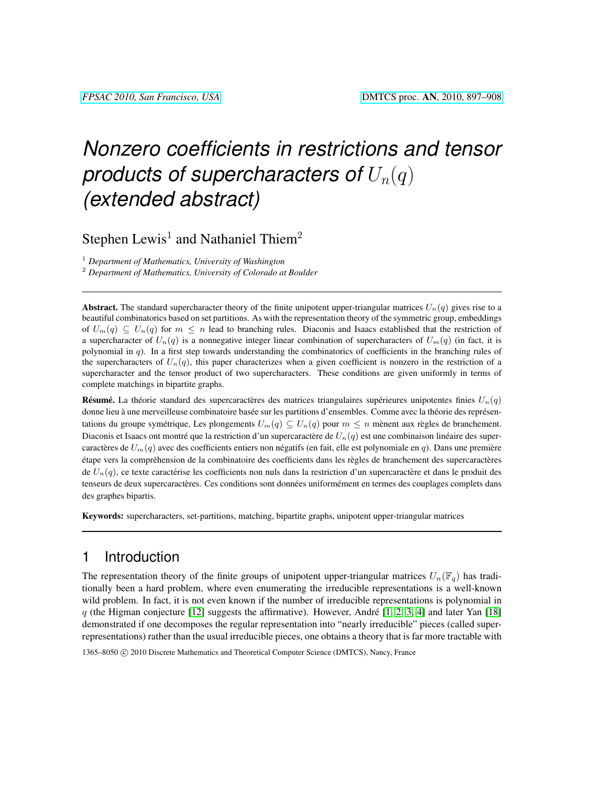# *Nonzero coefficients in restrictions and tensor products of supercharacters of*  $U_n(q)$ *(extended abstract)*

Stephen Lewis<sup>1</sup> and Nathaniel Thiem<sup>2</sup>

<sup>1</sup> *Department of Mathematics, University of Washington*

<sup>2</sup> *Department of Mathematics, University of Colorado at Boulder*

**Abstract.** The standard supercharacter theory of the finite unipotent upper-triangular matrices  $U_n(q)$  gives rise to a beautiful combinatorics based on set partitions. As with the representation theory of the symmetric group, embeddings of  $U_m(q) \subseteq U_n(q)$  for  $m \leq n$  lead to branching rules. Diaconis and Isaacs established that the restriction of a supercharacter of  $U_n(q)$  is a nonnegative integer linear combination of supercharacters of  $U_m(q)$  (in fact, it is polynomial in  $q$ ). In a first step towards understanding the combinatorics of coefficients in the branching rules of the supercharacters of  $U_n(q)$ , this paper characterizes when a given coefficient is nonzero in the restriction of a supercharacter and the tensor product of two supercharacters. These conditions are given uniformly in terms of complete matchings in bipartite graphs.

**Résumé.** La théorie standard des supercaractères des matrices triangulaires supérieures unipotentes finies  $U_n(q)$ donne lieu à une merveilleuse combinatoire basée sur les partitions d'ensembles. Comme avec la théorie des représentations du groupe symétrique, Les plongements  $U_m(q) \subseteq U_n(q)$  pour  $m \leq n$  mènent aux règles de branchement. Diaconis et Isaacs ont montré que la restriction d'un supercaractère de  $U_n(q)$  est une combinaison linéaire des supercaractères de  $U_m(q)$  avec des coefficients entiers non négatifs (en fait, elle est polynomiale en q). Dans une première étape vers la compréhension de la combinatoire des coefficients dans les règles de branchement des supercaractères de  $U_n(q)$ , ce texte caractérise les coefficients non nuls dans la restriction d'un supercaractère et dans le produit des tenseurs de deux supercaractères. Ces conditions sont données uniformément en termes des couplages complets dans des graphes bipartis.

Keywords: supercharacters, set-partitions, matching, bipartite graphs, unipotent upper-triangular matrices

## 1 Introduction

The representation theory of the finite groups of unipotent upper-triangular matrices  $U_n(\mathbb{F}_q)$  has traditionally been a hard problem, where even enumerating the irreducible representations is a well-known wild problem. In fact, it is not even known if the number of irreducible representations is polynomial in q (the Higman conjecture [\[12\]](#page-11-0) suggests the affirmative). However, André [\[1,](#page-11-1) [2,](#page-11-2) [3,](#page-11-3) [4\]](#page-11-4) and later Yan [\[18\]](#page-11-5) demonstrated if one decomposes the regular representation into "nearly irreducible" pieces (called superrepresentations) rather than the usual irreducible pieces, one obtains a theory that is far more tractable with

1365–8050 C 2010 Discrete Mathematics and Theoretical Computer Science (DMTCS), Nancy, France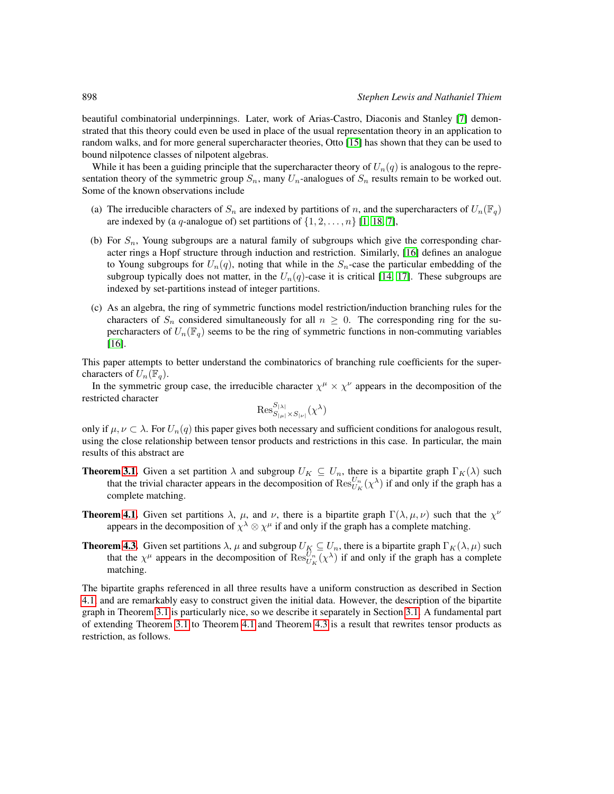beautiful combinatorial underpinnings. Later, work of Arias-Castro, Diaconis and Stanley [\[7\]](#page-11-6) demonstrated that this theory could even be used in place of the usual representation theory in an application to random walks, and for more general supercharacter theories, Otto [\[15\]](#page-11-7) has shown that they can be used to bound nilpotence classes of nilpotent algebras.

While it has been a guiding principle that the supercharacter theory of  $U_n(q)$  is analogous to the representation theory of the symmetric group  $S_n$ , many  $U_n$ -analogues of  $S_n$  results remain to be worked out. Some of the known observations include

- (a) The irreducible characters of  $S_n$  are indexed by partitions of n, and the supercharacters of  $U_n(\mathbb{F}_q)$ are indexed by (a q-analogue of) set partitions of  $\{1, 2, \ldots, n\}$  [\[1,](#page-11-1) [18,](#page-11-5) [7\]](#page-11-6),
- (b) For  $S_n$ , Young subgroups are a natural family of subgroups which give the corresponding character rings a Hopf structure through induction and restriction. Similarly, [\[16\]](#page-11-8) defines an analogue to Young subgroups for  $U_n(q)$ , noting that while in the  $S_n$ -case the particular embedding of the subgroup typically does not matter, in the  $U_n(q)$ -case it is critical [\[14,](#page-11-9) [17\]](#page-11-10). These subgroups are indexed by set-partitions instead of integer partitions.
- (c) As an algebra, the ring of symmetric functions model restriction/induction branching rules for the characters of  $S_n$  considered simultaneously for all  $n \geq 0$ . The corresponding ring for the supercharacters of  $U_n(\mathbb{F}_q)$  seems to be the ring of symmetric functions in non-commuting variables [\[16\]](#page-11-8).

This paper attempts to better understand the combinatorics of branching rule coefficients for the supercharacters of  $U_n(\mathbb{F}_q)$ .

In the symmetric group case, the irreducible character  $\chi^{\mu} \times \chi^{\nu}$  appears in the decomposition of the restricted character

$$
\operatorname{Res}_{S_{|\mu|} \times S_{|\nu|}}^{S_{|\lambda|}}(\chi^{\lambda})
$$

only if  $\mu, \nu \subset \lambda$ . For  $U_n(q)$  this paper gives both necessary and sufficient conditions for analogous result, using the close relationship between tensor products and restrictions in this case. In particular, the main results of this abstract are

- **Theorem [3.1.](#page-6-0)** Given a set partition  $\lambda$  and subgroup  $U_K \subseteq U_n$ , there is a bipartite graph  $\Gamma_K(\lambda)$  such that the trivial character appears in the decomposition of  $\text{Res}_{U_K}^{U_n}(\chi^{\lambda})$  if and only if the graph has a complete matching.
- **Theorem [4.1.](#page-8-0)** Given set partitions  $\lambda$ ,  $\mu$ , and  $\nu$ , there is a bipartite graph  $\Gamma(\lambda, \mu, \nu)$  such that the  $\chi^{\nu}$ appears in the decomposition of  $\chi^{\lambda} \otimes \chi^{\mu}$  if and only if the graph has a complete matching.
- **Theorem [4.3.](#page-10-0)** Given set partitions  $\lambda$ ,  $\mu$  and subgroup  $U_K \subseteq U_n$ , there is a bipartite graph  $\Gamma_K(\lambda, \mu)$  such that the  $\chi^{\mu}$  appears in the decomposition of  $\text{Res}_{U_K}^{U_n}(\chi^{\lambda})$  if and only if the graph has a complete matching.

The bipartite graphs referenced in all three results have a uniform construction as described in Section [4.1,](#page-7-0) and are remarkably easy to construct given the initial data. However, the description of the bipartite graph in Theorem [3.1](#page-6-0) is particularly nice, so we describe it separately in Section [3.1.](#page-6-1) A fundamental part of extending Theorem [3.1](#page-6-0) to Theorem [4.1](#page-8-0) and Theorem [4.3](#page-10-0) is a result that rewrites tensor products as restriction, as follows.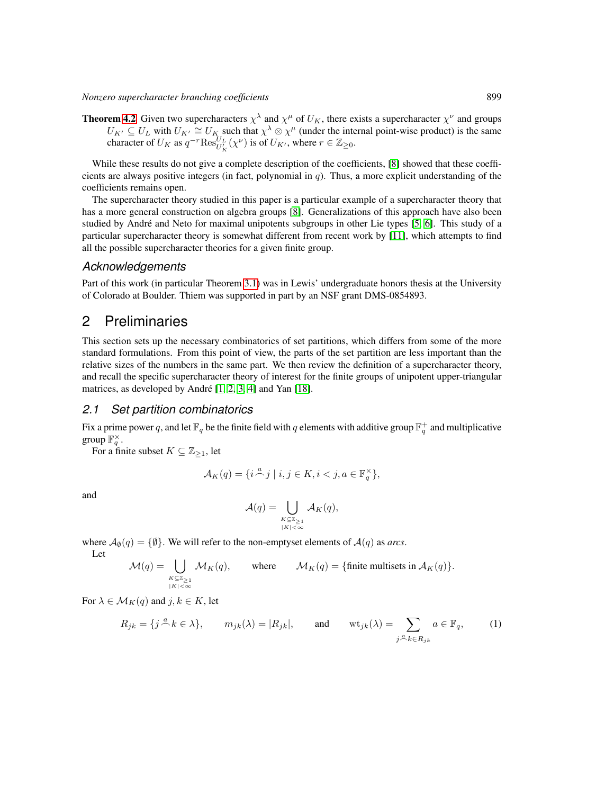*Nonzero supercharacter branching coefficients* 899

**Theorem [4.2](#page-10-1)** Given two supercharacters  $\chi^{\lambda}$  and  $\chi^{\mu}$  of  $U_K$ , there exists a supercharacter  $\chi^{\nu}$  and groups  $U_{K'} \subseteq U_L$  with  $U_{K'} \cong U_K$  such that  $\chi^{\lambda} \otimes \chi^{\mu}$  (under the internal point-wise product) is the same character of  $U_K$  as  $q^{-r} \text{Res}_{U'_K}^{U_L}(\chi^{\nu})$  is of  $U_{K'}$ , where  $r \in \mathbb{Z}_{\geq 0}$ .

While these results do not give a complete description of the coefficients, [\[8\]](#page-11-11) showed that these coefficients are always positive integers (in fact, polynomial in  $q$ ). Thus, a more explicit understanding of the coefficients remains open.

The supercharacter theory studied in this paper is a particular example of a supercharacter theory that has a more general construction on algebra groups [\[8\]](#page-11-11). Generalizations of this approach have also been studied by André and Neto for maximal unipotents subgroups in other Lie types [\[5,](#page-11-12) [6\]](#page-11-13). This study of a particular supercharacter theory is somewhat different from recent work by [\[11\]](#page-11-14), which attempts to find all the possible supercharacter theories for a given finite group.

#### *Acknowledgements*

Part of this work (in particular Theorem [3.1\)](#page-6-0) was in Lewis' undergraduate honors thesis at the University of Colorado at Boulder. Thiem was supported in part by an NSF grant DMS-0854893.

## 2 Preliminaries

This section sets up the necessary combinatorics of set partitions, which differs from some of the more standard formulations. From this point of view, the parts of the set partition are less important than the relative sizes of the numbers in the same part. We then review the definition of a supercharacter theory, and recall the specific supercharacter theory of interest for the finite groups of unipotent upper-triangular matrices, as developed by André  $[1, 2, 3, 4]$  $[1, 2, 3, 4]$  $[1, 2, 3, 4]$  $[1, 2, 3, 4]$  and Yan  $[18]$ .

#### *2.1 Set partition combinatorics*

Fix a prime power q, and let  $\mathbb{F}_q$  be the finite field with q elements with additive group  $\mathbb{F}_q^+$  and multiplicative group  $\mathbb{F}_q^{\times}$ .

For a finite subset  $K \subseteq \mathbb{Z}_{\geq 1}$ , let

$$
\mathcal{A}_K(q) = \{ i \stackrel{a}{\frown} j \mid i, j \in K, i < j, a \in \mathbb{F}_q^{\times} \},
$$

and

$$
\mathcal{A}(q) = \bigcup_{\substack{K \subseteq \mathbb{Z}_{\geq 1} \\ |K| < \infty}} \mathcal{A}_K(q),
$$

where  $A_{\emptyset}(q) = {\emptyset}$ . We will refer to the non-emptyset elements of  $A(q)$  as *arcs*.

Let

$$
\mathcal{M}(q) = \bigcup_{K \subseteq \mathbb{Z}_{\geq 1} \atop |K| < \infty} \mathcal{M}_K(q), \qquad \text{where} \qquad \mathcal{M}_K(q) = \{\text{finite multisets in } \mathcal{A}_K(q)\}.
$$

For  $\lambda \in \mathcal{M}_K(q)$  and  $j, k \in K$ , let

$$
R_{jk} = \{ j \stackrel{a}{\frown} k \in \lambda \}, \qquad m_{jk}(\lambda) = |R_{jk}|, \qquad \text{and} \qquad \text{wt}_{jk}(\lambda) = \sum_{j \stackrel{a}{\frown} k \in R_{jk}} a \in \mathbb{F}_q, \tag{1}
$$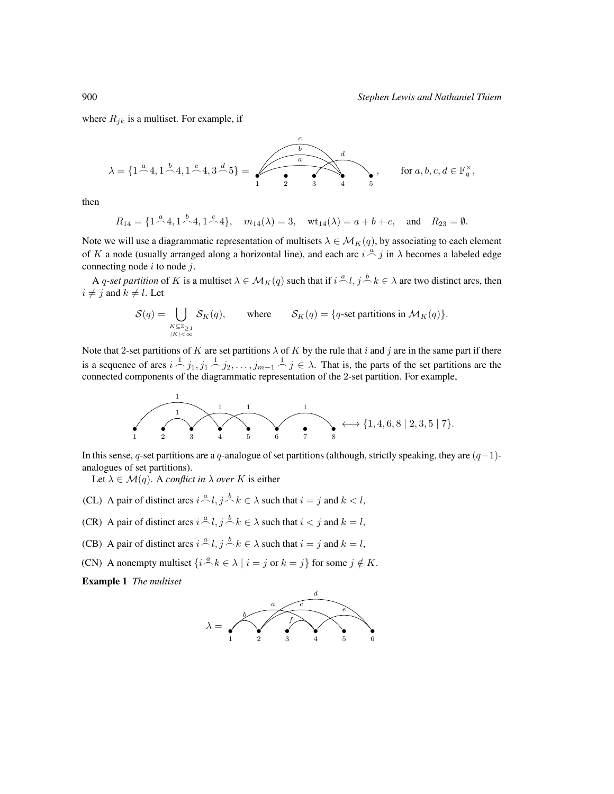where  $R_{jk}$  is a multiset. For example, if

$$
\lambda = \{1^{\frac{a}{2}}4, 1^{\frac{b}{2}}4, 1^{\frac{c}{2}}4, 3^{\frac{d}{2}}5\} = \sqrt{\frac{a}{\frac{a}{2}}} \qquad \qquad \uparrow \qquad \qquad \downarrow
$$
 for  $a, b, c, d \in \mathbb{F}_q^{\times}$ ,

then

$$
R_{14} = \{1 \stackrel{a}{\frown} 4, 1 \stackrel{b}{\frown} 4, 1 \stackrel{c}{\frown} 4\}, \quad m_{14}(\lambda) = 3, \quad \text{wt}_{14}(\lambda) = a + b + c, \quad \text{and} \quad R_{23} = \emptyset.
$$

Note we will use a diagrammatic representation of multisets  $\lambda \in \mathcal{M}_K(q)$ , by associating to each element of K a node (usually arranged along a horizontal line), and each arc  $i \stackrel{a}{\frown} j$  in  $\lambda$  becomes a labeled edge connecting node  $i$  to node  $j$ .

A q-set partition of K is a multiset  $\lambda \in \mathcal{M}_K(q)$  such that if  $i \stackrel{a}{\frown} l, j \stackrel{b}{\frown} k \in \lambda$  are two distinct arcs, then  $i \neq j$  and  $k \neq l$ . Let

$$
\mathcal{S}(q) = \bigcup_{\substack{K \subseteq \mathbb{Z}_{\geq 1} \\ |K| < \infty}} \mathcal{S}_K(q), \qquad \text{where} \qquad \mathcal{S}_K(q) = \{q\text{-set partitions in } \mathcal{M}_K(q)\}.
$$

Note that 2-set partitions of K are set partitions  $\lambda$  of K by the rule that i and j are in the same part if there is a sequence of arcs  $i \stackrel{1}{\frown} j_1, j_1 \stackrel{1}{\frown} j_2, \ldots, j_{m-1} \stackrel{1}{\frown} j \in \lambda$ . That is, the parts of the set partitions are the connected components of the diagrammatic representation of the 2-set partition. For example,



In this sense, q-set partitions are a q-analogue of set partitions (although, strictly speaking, they are  $(q-1)$ analogues of set partitions).

Let  $\lambda \in \mathcal{M}(q)$ . A *conflict in*  $\lambda$  *over* K is either

- (CL) A pair of distinct arcs  $i \stackrel{a}{\frown} l$ ,  $j \stackrel{b}{\frown} k \in \lambda$  such that  $i = j$  and  $k < l$ ,
- (CR) A pair of distinct arcs  $i \stackrel{a}{\frown} l$ ,  $j \stackrel{b}{\frown} k \in \lambda$  such that  $i < j$  and  $k = l$ ,
- (CB) A pair of distinct arcs  $i \stackrel{a}{\frown} l$ ,  $j \stackrel{b}{\frown} k \in \lambda$  such that  $i = j$  and  $k = l$ ,
- (CN) A nonempty multiset  $\{i \stackrel{a}{\frown} k \in \lambda \mid i = j \text{ or } k = j\}$  for some  $j \notin K$ .

Example 1 *The multiset*

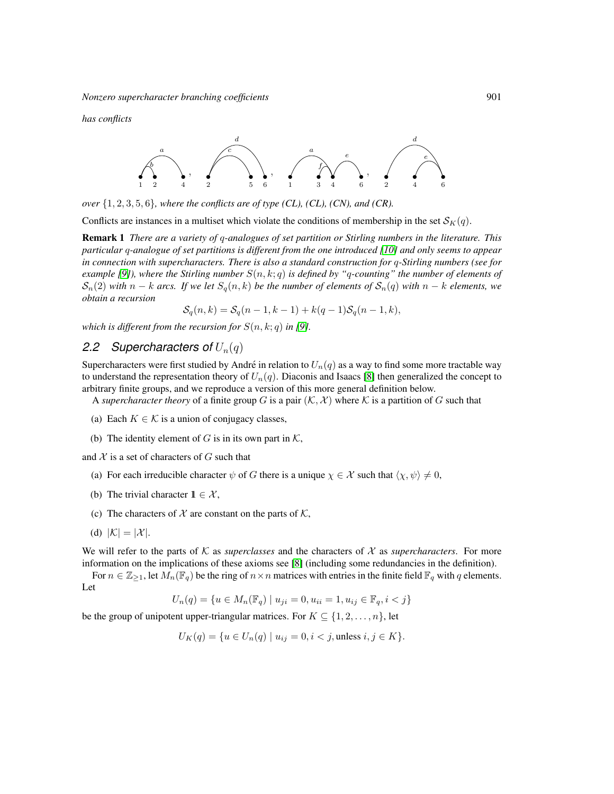*has conflicts*



*over* {1, 2, 3, 5, 6}*, where the conflicts are of type (CL), (CL), (CN), and (CR).*

Conflicts are instances in a multiset which violate the conditions of membership in the set  $\mathcal{S}_K(q)$ .

Remark 1 *There are a variety of* q*-analogues of set partition or Stirling numbers in the literature. This particular* q*-analogue of set partitions is different from the one introduced [\[10\]](#page-11-15) and only seems to appear in connection with supercharacters. There is also a standard construction for* q*-Stirling numbers (see for example* [\[9\]](#page-11-16)), where the Stirling number  $S(n, k; q)$  is defined by "q-counting" the number of elements of  $S_n(2)$  *with*  $n - k$  *arcs.* If we let  $S_q(n, k)$  be the number of elements of  $S_n(q)$  *with*  $n - k$  *elements, we obtain a recursion*

$$
S_q(n,k) = S_q(n-1,k-1) + k(q-1)S_q(n-1,k),
$$

*which is different from the recursion for*  $S(n, k; q)$  *in* [\[9\]](#page-11-16)*.* 

## 2.2 Supercharacters of  $U_n(q)$

Supercharacters were first studied by André in relation to  $U_n(q)$  as a way to find some more tractable way to understand the representation theory of  $U_n(q)$ . Diaconis and Isaacs [\[8\]](#page-11-11) then generalized the concept to arbitrary finite groups, and we reproduce a version of this more general definition below.

A *supercharacter theory* of a finite group G is a pair  $(K, \mathcal{X})$  where K is a partition of G such that

- (a) Each  $K \in \mathcal{K}$  is a union of conjugacy classes,
- (b) The identity element of G is in its own part in  $K$ ,

and  $X$  is a set of characters of  $G$  such that

- (a) For each irreducible character  $\psi$  of G there is a unique  $\chi \in \mathcal{X}$  such that  $\langle \chi, \psi \rangle \neq 0$ ,
- (b) The trivial character  $1 \in \mathcal{X}$ ,
- (c) The characters of  $X$  are constant on the parts of  $K$ ,
- (d)  $|\mathcal{K}| = |\mathcal{X}|$ .

We will refer to the parts of  $K$  as *superclasses* and the characters of  $X$  as *supercharacters*. For more information on the implications of these axioms see [\[8\]](#page-11-11) (including some redundancies in the definition).

For  $n \in \mathbb{Z}_{\geq 1}$ , let  $M_n(\mathbb{F}_q)$  be the ring of  $n \times n$  matrices with entries in the finite field  $\mathbb{F}_q$  with q elements. Let

$$
U_n(q) = \{ u \in M_n(\mathbb{F}_q) \mid u_{ji} = 0, u_{ii} = 1, u_{ij} \in \mathbb{F}_q, i < j \}
$$

be the group of unipotent upper-triangular matrices. For  $K \subseteq \{1, 2, \ldots, n\}$ , let

$$
U_K(q) = \{ u \in U_n(q) \mid u_{ij} = 0, i < j, \text{unless } i, j \in K \}.
$$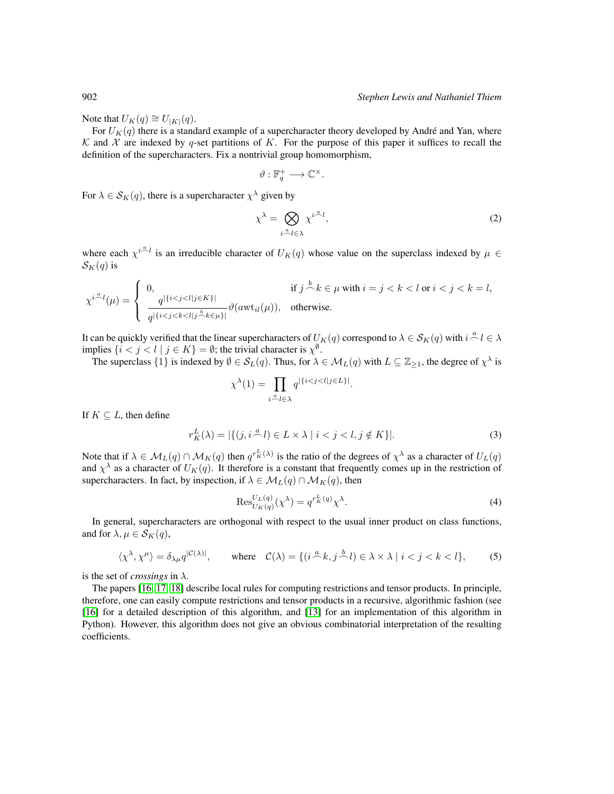Note that  $U_K(q) \cong U_{|K|}(q)$ .

For  $U_K(q)$  there is a standard example of a supercharacter theory developed by André and Yan, where K and X are indexed by q-set partitions of K. For the purpose of this paper it suffices to recall the definition of the supercharacters. Fix a nontrivial group homomorphism,

$$
\vartheta: \mathbb{F}_q^+ \longrightarrow \mathbb{C}^\times.
$$

For  $\lambda \in \mathcal{S}_K(q)$ , there is a supercharacter  $\chi^{\lambda}$  given by

$$
\chi^{\lambda} = \bigotimes_{i \stackrel{\alpha}{\sim} l \in \lambda} \chi^{i \stackrel{\alpha}{\sim} l},\tag{2}
$$

where each  $\chi^{i} \stackrel{\alpha}{\sim} l$  is an irreducible character of  $U_K(q)$  whose value on the superclass indexed by  $\mu \in$  $S_K(q)$  is

$$
\chi^{i\stackrel{a}{\frown}l}(\mu)=\left\{\begin{array}{ll}0,& \text{if } j\stackrel{b}{\frown}k\in\mu\text{ with }i=j
$$

It can be quickly verified that the linear supercharacters of  $U_K(q)$  correspond to  $\lambda \in \mathcal{S}_K(q)$  with  $i \stackrel{a}{\frown} l \in \lambda$ implies  $\{i < j < l \mid j \in K\} = \emptyset$ ; the trivial character is  $\chi^{\emptyset}$ .

The superclass  $\{1\}$  is indexed by  $\emptyset \in \mathcal{S}_L(q)$ . Thus, for  $\lambda \in \mathcal{M}_L(q)$  with  $L \subseteq \mathbb{Z}_{\geq 1}$ , the degree of  $\chi^{\lambda}$  is

$$
\chi^{\lambda}(1) = \prod_{i \stackrel{\alpha}{\sim} l \in \lambda} q^{\left|\{i < j < l | j \in L\}\right|}.
$$

If  $K \subset L$ , then define

$$
r_K^L(\lambda) = |\{(j, i \stackrel{a}{\sim} l) \in L \times \lambda \mid i < j < l, j \notin K\}|. \tag{3}
$$

Note that if  $\lambda \in M_L(q) \cap M_K(q)$  then  $q^{r_K^L(\lambda)}$  is the ratio of the degrees of  $\chi^{\lambda}$  as a character of  $U_L(q)$ and  $\chi^{\lambda}$  as a character of  $U_K(q)$ . It therefore is a constant that frequently comes up in the restriction of supercharacters. In fact, by inspection, if  $\lambda \in \mathcal{M}_L(q) \cap \mathcal{M}_K(q)$ , then

$$
\operatorname{Res}_{U_K(q)}^{U_L(q)}(\chi^{\lambda}) = q^{r_K^L(q)} \chi^{\lambda}.
$$
\n(4)

In general, supercharacters are orthogonal with respect to the usual inner product on class functions, and for  $\lambda, \mu \in S_K(q)$ ,

$$
\langle \chi^{\lambda}, \chi^{\mu} \rangle = \delta_{\lambda \mu} q^{|\mathcal{C}(\lambda)|}, \qquad \text{where} \quad \mathcal{C}(\lambda) = \{ (i \stackrel{a}{\frown} k, j \stackrel{b}{\frown} l) \in \lambda \times \lambda \mid i < j < k < l \},\tag{5}
$$

is the set of *crossings* in  $\lambda$ .

The papers [\[16,](#page-11-8) [17,](#page-11-10) [18\]](#page-11-5) describe local rules for computing restrictions and tensor products. In principle, therefore, one can easily compute restrictions and tensor products in a recursive, algorithmic fashion (see [\[16\]](#page-11-8) for a detailed description of this algorithm, and [\[13\]](#page-11-17) for an implementation of this algorithm in Python). However, this algorithm does not give an obvious combinatorial interpretation of the resulting coefficients.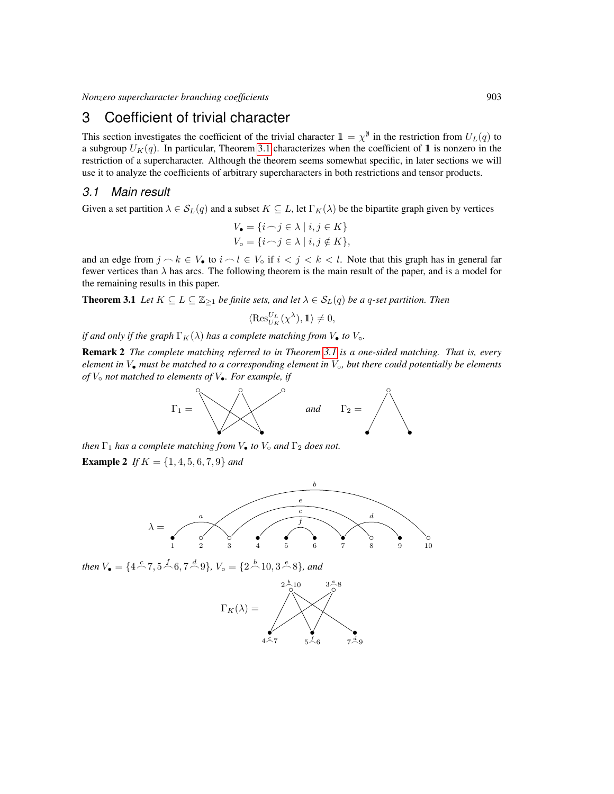## 3 Coefficient of trivial character

This section investigates the coefficient of the trivial character  $1 = \chi^{\emptyset}$  in the restriction from  $U_L(q)$  to a subgroup  $U_K(q)$ . In particular, Theorem [3.1](#page-6-0) characterizes when the coefficient of 1 is nonzero in the restriction of a supercharacter. Although the theorem seems somewhat specific, in later sections we will use it to analyze the coefficients of arbitrary supercharacters in both restrictions and tensor products.

#### <span id="page-6-1"></span>*3.1 Main result*

Given a set partition  $\lambda \in S_L(q)$  and a subset  $K \subseteq L$ , let  $\Gamma_K(\lambda)$  be the bipartite graph given by vertices

$$
V_{\bullet} = \{i \cap j \in \lambda \mid i, j \in K\}
$$
  

$$
V_{\circ} = \{i \cap j \in \lambda \mid i, j \notin K\},\
$$

and an edge from  $j \nc k \in V_0$  to  $i \nc l \in V_0$  if  $i < j < k < l$ . Note that this graph has in general far fewer vertices than  $\lambda$  has arcs. The following theorem is the main result of the paper, and is a model for the remaining results in this paper.

<span id="page-6-0"></span>**Theorem 3.1** *Let*  $K \subseteq L \subseteq \mathbb{Z}_{\geq 1}$  *be finite sets, and let*  $\lambda \in S_L(q)$  *be a q-set partition. Then* 

$$
\langle \operatorname{Res}_{U_K}^{U_L}(\chi^\lambda), \mathbb{1}\rangle \neq 0,
$$

*if and only if the graph*  $\Gamma_K(\lambda)$  *has a complete matching from*  $V_{\bullet}$  *to*  $V_{\circ}$ *.* 

Remark 2 *The complete matching referred to in Theorem [3.1](#page-6-0) is a one-sided matching. That is, every element in* V• *must be matched to a corresponding element in* V◦*, but there could potentially be elements of* V◦ *not matched to elements of* V•*. For example, if*



*then*  $\Gamma_1$  *has a complete matching from*  $V_•$  *to*  $V_°$  *and*  $\Gamma_2$  *does not.* 

Example 2 *If* K = {1, 4, 5, 6, 7, 9} *and*



then  $V_{\bullet} = \{4 \stackrel{c}{\frown} 7, 5 \stackrel{f}{\frown} 6, 7 \stackrel{d}{\frown} 9\}$ ,  $V_{\circ} = \{2 \stackrel{b}{\frown} 10, 3 \stackrel{e}{\frown} 8\}$ , and

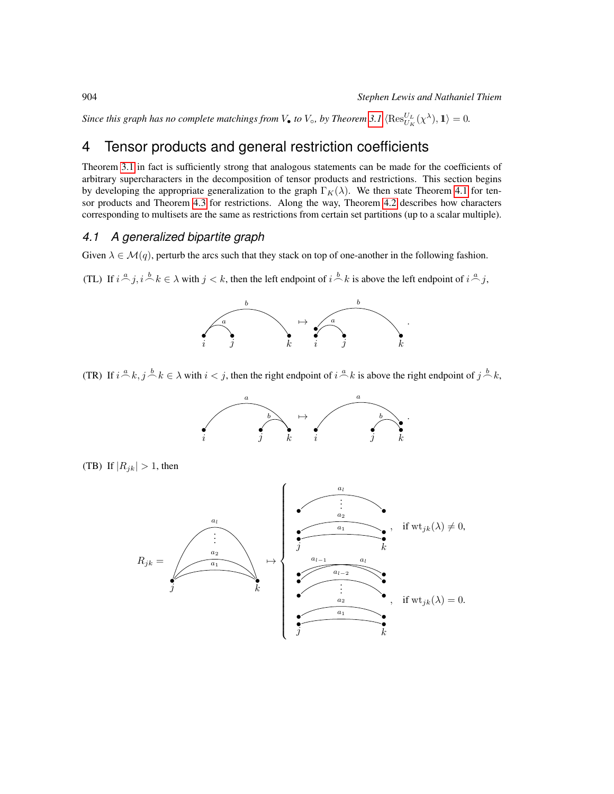*Since this graph has no complete matchings from*  $V_{\bullet}$  *to*  $V_{\circ}$ *, by Theorem [3.1](#page-6-0)*  $\langle \text{Res}_{U_K}^{U_L}(\chi^{\lambda}), 1 \rangle = 0$ *.* 

## 4 Tensor products and general restriction coefficients

Theorem [3.1](#page-6-0) in fact is sufficiently strong that analogous statements can be made for the coefficients of arbitrary supercharacters in the decomposition of tensor products and restrictions. This section begins by developing the appropriate generalization to the graph  $\Gamma_K(\lambda)$ . We then state Theorem [4.1](#page-8-0) for tensor products and Theorem [4.3](#page-10-0) for restrictions. Along the way, Theorem [4.2](#page-10-1) describes how characters corresponding to multisets are the same as restrictions from certain set partitions (up to a scalar multiple).

#### <span id="page-7-0"></span>*4.1 A generalized bipartite graph*

Given  $\lambda \in \mathcal{M}(q)$ , perturb the arcs such that they stack on top of one-another in the following fashion.

(TL) If  $i \stackrel{a}{\frown} j$ ,  $i \stackrel{b}{\frown} k \in \lambda$  with  $j < k$ , then the left endpoint of  $i \stackrel{b}{\frown} k$  is above the left endpoint of  $i \stackrel{a}{\frown} j$ ,



(TR) If  $i \stackrel{a}{\frown} k$ ,  $j \stackrel{b}{\frown} k \in \lambda$  with  $i < j$ , then the right endpoint of  $i \stackrel{a}{\frown} k$  is above the right endpoint of  $j \stackrel{b}{\frown} k$ ,



(TB) If  $|R_{jk}| > 1$ , then

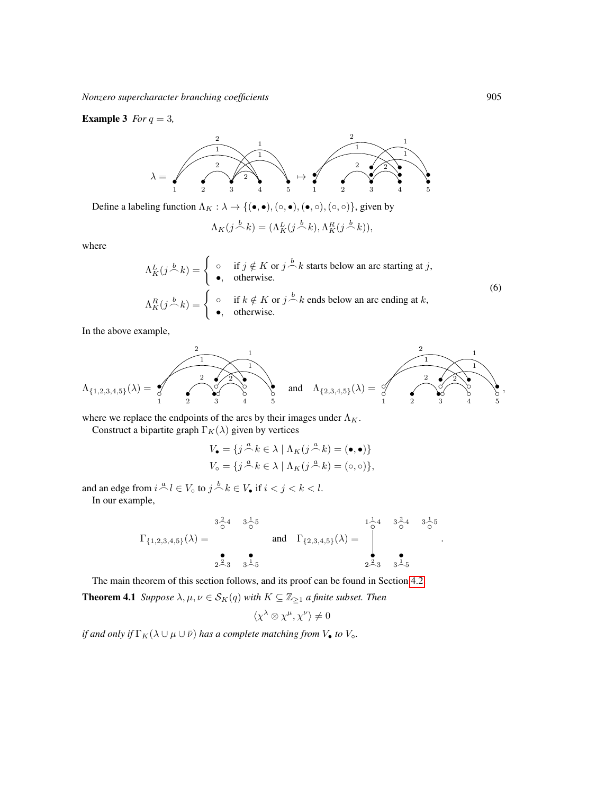#### **Example 3** *For*  $q = 3$ *,*



Define a labeling function  $\Lambda_K : \lambda \to \{(\bullet,\bullet),(\circ,\bullet),(\bullet,\circ),(\circ,\circ)\}\)$ , given by

$$
\Lambda_K(j \stackrel{b}{\frown} k) = (\Lambda_K^L(j \stackrel{b}{\frown} k), \Lambda_K^R(j \stackrel{b}{\frown} k)),
$$

where

$$
\Lambda_K^L(j \stackrel{b}{\frown} k) = \begin{cases}\n\circ & \text{if } j \notin K \text{ or } j \stackrel{b}{\frown} k \text{ starts below an arc starting at } j, \\
\bullet, & \text{otherwise.} \n\end{cases}
$$
\n
$$
\Lambda_K^R(j \stackrel{b}{\frown} k) = \begin{cases}\n\circ & \text{if } k \notin K \text{ or } j \stackrel{b}{\frown} k \text{ ends below an arc ending at } k, \\
\bullet, & \text{otherwise.}\n\end{cases}
$$
\n(6)

In the above example,

$$
\Lambda_{\{1,2,3,4,5\}}(\lambda) = \begin{pmatrix} 2 & 1 & 1 \\ 1 & 2 & 2 \\ 0 & 0 & 0 \\ 1 & 2 & 3 \end{pmatrix} \quad \text{and} \quad \Lambda_{\{2,3,4,5\}}(\lambda) = \begin{pmatrix} 2 & 1 & 1 \\ 0 & 2 & 2 \\ 0 & 0 & 0 \\ 1 & 2 & 3 \end{pmatrix} \quad \text{and} \quad \Lambda_{\{3,4,5\}}(\lambda) = \begin{pmatrix} 2 & 1 & 1 \\ 0 & 2 & 2 \\ 0 & 0 & 0 \\ 0 & 0 & 0 \\ 0 & 0 & 0 \\ 0 & 0 & 0 \end{pmatrix},
$$

where we replace the endpoints of the arcs by their images under  $\Lambda_K$ .

Construct a bipartite graph  $\Gamma_K(\lambda)$  given by vertices

$$
V_{\bullet} = \{ j \stackrel{a}{\frown} k \in \lambda \mid \Lambda_K(j \stackrel{a}{\frown} k) = (\bullet, \bullet) \}
$$

$$
V_{\circ} = \{ j \stackrel{a}{\frown} k \in \lambda \mid \Lambda_K(j \stackrel{a}{\frown} k) = (\circ, \circ) \},
$$

and an edge from  $i \stackrel{a}{\frown} l \in V_0$  to  $j \stackrel{b}{\frown} k \in V_0$  if  $i < j < k < l$ . In our example,

$$
\Gamma_{\{1,2,3,4,5\}}(\lambda) = \begin{matrix} 3\frac{2}{\circ}4 & 3\frac{1}{\circ}5\\ & \text{and} & \Gamma_{\{2,3,4,5\}}(\lambda) =\\ & 2\frac{2}{\circ}3 & 3\frac{1}{\circ}5 \end{matrix} \text{ and } \Gamma_{\{2,3,4,5\}}(\lambda) = \begin{matrix} 1\frac{1}{\circ}4 & 3\frac{2}{\circ}4 & 3\frac{1}{\circ}5\\ & \bullet & \bullet\\ & 2\frac{2}{\circ}3 & 3\frac{1}{\circ}5 \end{matrix}
$$

The main theorem of this section follows, and its proof can be found in Section [4.2.](#page-9-0)

<span id="page-8-0"></span>**Theorem 4.1** *Suppose*  $\lambda, \mu, \nu \in S_K(q)$  *with*  $K \subseteq \mathbb{Z}_{\geq 1}$  *a finite subset. Then* 

$$
\langle \chi^\lambda\otimes\chi^\mu,\chi^\nu\rangle\neq 0
$$

*if and only if*  $\Gamma_K(\lambda \cup \mu \cup \bar{\nu})$  *has a complete matching from*  $V_{\bullet}$  *to*  $V_{\circ}$ *.* 

.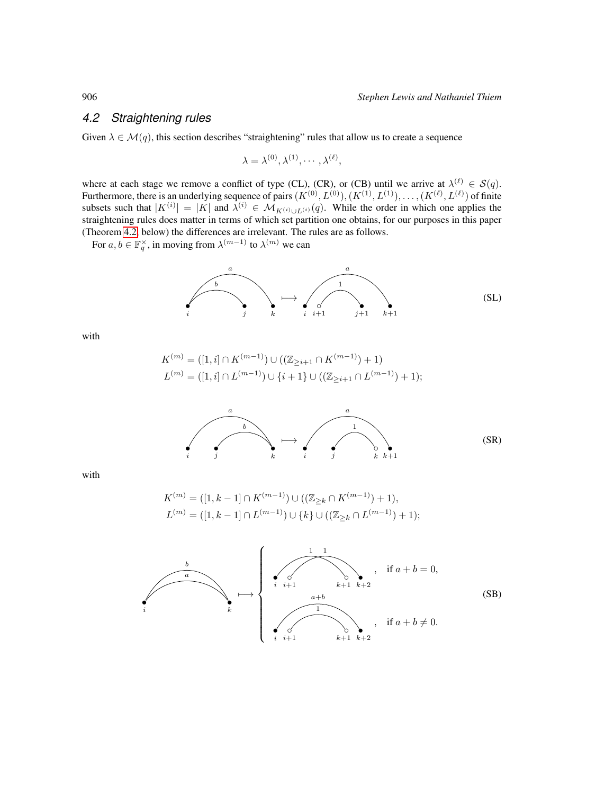#### <span id="page-9-0"></span>*4.2 Straightening rules*

Given  $\lambda \in \mathcal{M}(q)$ , this section describes "straightening" rules that allow us to create a sequence

$$
\lambda = \lambda^{(0)}, \lambda^{(1)}, \cdots, \lambda^{(\ell)},
$$

where at each stage we remove a conflict of type (CL), (CR), or (CB) until we arrive at  $\lambda^{(\ell)} \in S(q)$ . Furthermore, there is an underlying sequence of pairs  $(K^{(0)}, L^{(0)}), (K^{(1)}, L^{(1)}), \ldots, (K^{(\ell)}, L^{(\ell)})$  of finite subsets such that  $|K^{(i)}| = |K|$  and  $\lambda^{(i)} \in M_{K^{(i)} \cup L^{(i)}}(q)$ . While the order in which one applies the straightening rules does matter in terms of which set partition one obtains, for our purposes in this paper (Theorem [4.2,](#page-10-1) below) the differences are irrelevant. The rules are as follows.

For  $a, b \in \mathbb{F}_q^{\times}$ , in moving from  $\lambda^{(m-1)}$  to  $\lambda^{(m)}$  we can



with

$$
K^{(m)} = ([1, i] \cap K^{(m-1)}) \cup ((\mathbb{Z}_{\geq i+1} \cap K^{(m-1)}) + 1)
$$
  

$$
L^{(m)} = ([1, i] \cap L^{(m-1)}) \cup \{i+1\} \cup ((\mathbb{Z}_{\geq i+1} \cap L^{(m-1)}) + 1);
$$



with

$$
K^{(m)} = ([1, k-1] \cap K^{(m-1)}) \cup ((\mathbb{Z}_{\geq k} \cap K^{(m-1)}) + 1),
$$
  

$$
L^{(m)} = ([1, k-1] \cap L^{(m-1)}) \cup \{k\} \cup ((\mathbb{Z}_{\geq k} \cap L^{(m-1)}) + 1);
$$

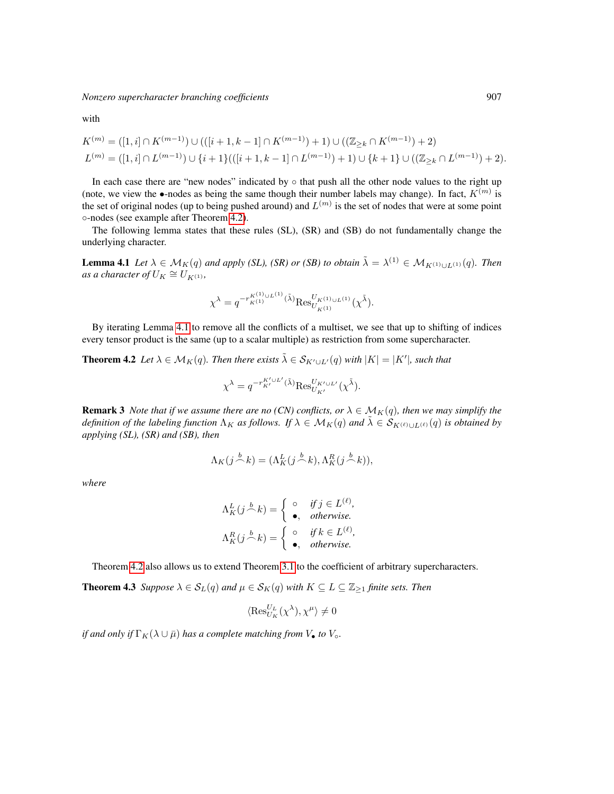*Nonzero supercharacter branching coefficients* 907

with

$$
K^{(m)} = ([1, i] \cap K^{(m-1)}) \cup (([i + 1, k - 1] \cap K^{(m-1)}) + 1) \cup ((\mathbb{Z}_{\geq k} \cap K^{(m-1)}) + 2)
$$
  

$$
L^{(m)} = ([1, i] \cap L^{(m-1)}) \cup \{i + 1\}(([i + 1, k - 1] \cap L^{(m-1)}) + 1) \cup \{k + 1\} \cup ((\mathbb{Z}_{\geq k} \cap L^{(m-1)}) + 2).
$$

In each case there are "new nodes" indicated by  $\circ$  that push all the other node values to the right up (note, we view the •-nodes as being the same though their number labels may change). In fact,  $K^{(m)}$  is the set of original nodes (up to being pushed around) and  $L^{(m)}$  is the set of nodes that were at some point ◦-nodes (see example after Theorem [4.2\)](#page-10-1).

The following lemma states that these rules (SL), (SR) and (SB) do not fundamentally change the underlying character.

<span id="page-10-2"></span>**Lemma 4.1** *Let*  $\lambda \in M_K(q)$  *and apply (SL), (SR) or (SB) to obtain*  $\tilde{\lambda} = \lambda^{(1)} \in M_{K^{(1)} \cup L^{(1)}}(q)$ *. Then*  $\lim_{K \to \infty} a$  *character of*  $U_K \cong U_{K^{(1)}}$ ,

$$
\chi^{\lambda} = q^{-r_{K^{(1)} \cup L^{(1)}}^{K^{(1)}(\tilde{\lambda})}} \text{Res}_{U_{K^{(1)}}^{U_{K^{(1)} \cup L^{(1)}}}(\chi^{\tilde{\lambda}}).
$$

By iterating Lemma [4.1](#page-10-2) to remove all the conflicts of a multiset, we see that up to shifting of indices every tensor product is the same (up to a scalar multiple) as restriction from some supercharacter.

<span id="page-10-1"></span>**Theorem 4.2** Let  $\lambda \in \mathcal{M}_K(q)$ . Then there exists  $\tilde{\lambda} \in \mathcal{S}_{K' \cup L'}(q)$  with  $|K| = |K'|$ , such that

$$
\chi^{\lambda} = q^{-r_{K'}^{K'\cup L'}(\tilde{\lambda})} \text{Res}_{U_{K'}}^{U_{K'\cup L'}}(\chi^{\tilde{\lambda}}).
$$

**Remark 3** *Note that if we assume there are no (CN) conflicts, or*  $\lambda \in M_K(q)$ *, then we may simplify the definition of the labeling function*  $\Lambda_K$  *as follows. If*  $\lambda \in \mathcal{M}_K(q)$  *and*  $\tilde{\lambda} \in \mathcal{S}_{K^{(\ell)} \cup L^{(\ell)}}(q)$  *is obtained by applying (SL), (SR) and (SB), then*

$$
\Lambda_K(j \stackrel{b}{\frown} k) = (\Lambda_K^L(j \stackrel{b}{\frown} k), \Lambda_K^R(j \stackrel{b}{\frown} k)),
$$

*where*

$$
\Lambda_K^L(j \stackrel{b}{\frown} k) = \begin{cases}\n\circ & \text{if } j \in L^{(\ell)}, \\
\bullet, & \text{otherwise.} \n\end{cases}
$$
\n
$$
\Lambda_K^R(j \stackrel{b}{\frown} k) = \begin{cases}\n\circ & \text{if } k \in L^{(\ell)}, \\
\bullet, & \text{otherwise.} \n\end{cases}
$$

Theorem [4.2](#page-10-1) also allows us to extend Theorem [3.1](#page-6-0) to the coefficient of arbitrary supercharacters.

<span id="page-10-0"></span>**Theorem 4.3** *Suppose*  $\lambda \in S_L(q)$  *and*  $\mu \in S_K(q)$  *with*  $K \subseteq L \subseteq \mathbb{Z}_{\geq 1}$  *finite sets. Then* 

$$
\langle \operatorname{Res}_{U_K}^{U_L}(\chi^\lambda), \chi^\mu \rangle \neq 0
$$

*if and only if*  $\Gamma_K(\lambda \cup \bar{\mu})$  *has a complete matching from*  $V_{\bullet}$  *to*  $V_{\circ}$ *.*